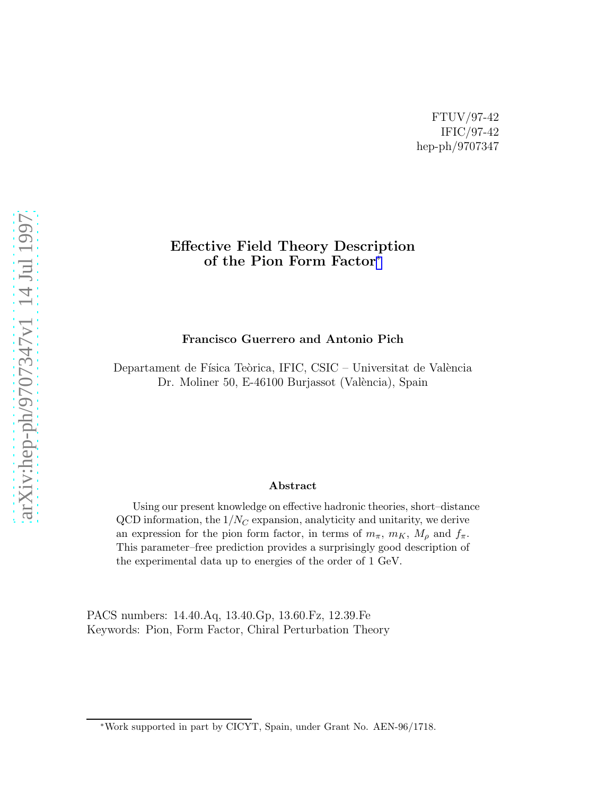# Effective Field Theory Description of the Pion Form Factor ∗

#### Francisco Guerrero and Antonio Pich

Departament de Física Teòrica, IFIC, CSIC – Universitat de València Dr. Moliner 50, E-46100 Burjassot (València), Spain

#### Abstract

Using our present knowledge on effective hadronic theories, short–distance QCD information, the  $1/N_C$  expansion, analyticity and unitarity, we derive an expression for the pion form factor, in terms of  $m_{\pi}$ ,  $m_K$ ,  $M_{\rho}$  and  $f_{\pi}$ . This parameter–free prediction provides a surprisingly good description of the experimental data up to energies of the order of 1 GeV.

PACS numbers: 14.40.Aq, 13.40.Gp, 13.60.Fz, 12.39.Fe Keywords: Pion, Form Factor, Chiral Perturbation Theory

<sup>∗</sup>Work supported in part by CICYT, Spain, under Grant No. AEN-96/1718.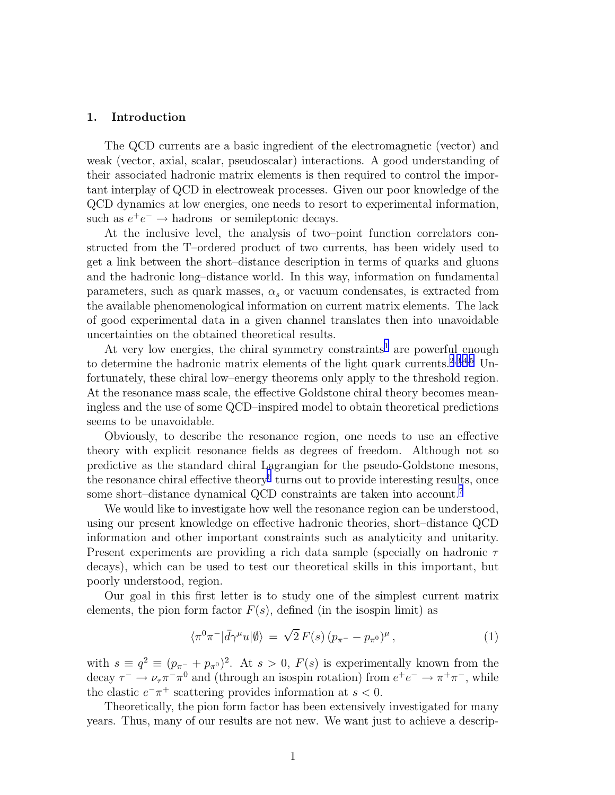#### 1. Introduction

The QCD currents are a basic ingredient of the electromagnetic (vector) and weak (vector, axial, scalar, pseudoscalar) interactions. A good understanding of their associated hadronic matrix elements is then required to control the important interplay of QCD in electroweak processes. Given our poor knowledge of the QCD dynamics at low energies, one needs to resort to experimental information, such as  $e^+e^- \rightarrow$  hadrons or semileptonic decays.

At the inclusive level, the analysis of two–point function correlators constructed from the T–ordered product of two currents, has been widely used to get a link between the short–distance description in terms of quarks and gluons and the hadronic long–distance world. In this way, information on fundamental parameters, such as quark masses,  $\alpha_s$  or vacuum condensates, is extracted from the available phenomenological information on current matrix elements. The lack of good experimental data in a given channel translates then into unavoidable uncertainties on the obtained theoretical results.

At very low energies, the chiral symmetry constraints<sup>[1](#page-9-0)</sup> are powerful enough to determine the hadronic matrix elements of the light quark currents.<sup>[2](#page-9-0),[3,4](#page-9-0),[5](#page-9-0)</sup> Unfortunately, these chiral low–energy theorems only apply to the threshold region. At the resonance mass scale, the effective Goldstone chiral theory becomes meaningless and the use of some QCD–inspired model to obtain theoretical predictions seems to be unavoidable.

Obviously, to describe the resonance region, one needs to use an effective theory with explicit resonance fields as degrees of freedom. Although not so predictive as the standard chiral Lagrangian for the pseudo-Goldstone mesons, the resonance chiral effective theory<sup>[6](#page-9-0)</sup> turns out to provide interesting results, once some short–distance dynamical QCD constraints are taken into account.<sup>[7](#page-9-0)</sup>

We would like to investigate how well the resonance region can be understood, using our present knowledge on effective hadronic theories, short–distance QCD information and other important constraints such as analyticity and unitarity. Present experiments are providing a rich data sample (specially on hadronic  $\tau$ decays), which can be used to test our theoretical skills in this important, but poorly understood, region.

Our goal in this first letter is to study one of the simplest current matrix elements, the pion form factor  $F(s)$ , defined (in the isospin limit) as

$$
\langle \pi^0 \pi^- | \bar{d} \gamma^\mu u | \emptyset \rangle = \sqrt{2} F(s) (p_{\pi^-} - p_{\pi^0})^\mu , \qquad (1)
$$

with  $s \equiv q^2 \equiv (p_{\pi^-} + p_{\pi^0})^2$ . At  $s > 0$ ,  $F(s)$  is experimentally known from the decay  $\tau^- \to \nu_\tau \pi^- \pi^0$  and (through an isospin rotation) from  $e^+e^- \to \pi^+ \pi^-$ , while the elastic  $e^- \pi^+$  scattering provides information at  $s < 0$ .

Theoretically, the pion form factor has been extensively investigated for many years. Thus, many of our results are not new. We want just to achieve a descrip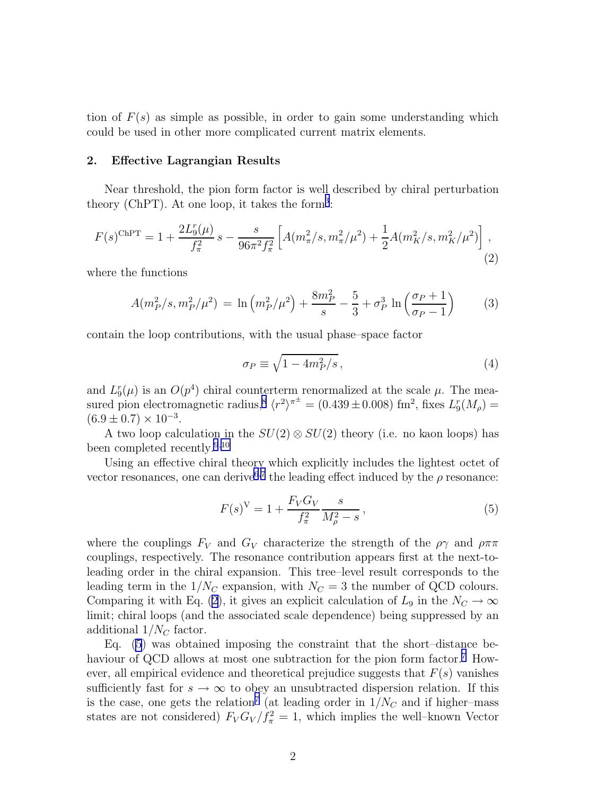<span id="page-2-0"></span>tion of  $F(s)$  as simple as possible, in order to gain some understanding which could be used in other more complicated current matrix elements.

#### 2. Effective Lagrangian Results

Near threshold, the pion form factor is well described by chiral perturbation theory (ChPT). At one loop, it takes the form<sup>[3](#page-9-0)</sup>:

$$
F(s)^{\text{ChPT}} = 1 + \frac{2L_9^r(\mu)}{f_\pi^2} s - \frac{s}{96\pi^2 f_\pi^2} \left[ A(m_\pi^2/s, m_\pi^2/\mu^2) + \frac{1}{2} A(m_K^2/s, m_K^2/\mu^2) \right],\tag{2}
$$

where the functions

$$
A(m_P^2/s, m_P^2/\mu^2) = \ln (m_P^2/\mu^2) + \frac{8m_P^2}{s} - \frac{5}{3} + \sigma_P^3 \ln \left(\frac{\sigma_P + 1}{\sigma_P - 1}\right)
$$
 (3)

contain the loop contributions, with the usual phase–space factor

$$
\sigma_P \equiv \sqrt{1 - 4m_P^2/s} \,,\tag{4}
$$

and  $L_9^r(\mu)$  is an  $O(p^4)$  chiral counterterm renormalized at the scale  $\mu$ . The mea-sured pion electromagnetic radius,<sup>[8](#page-9-0)</sup>  $\langle r^2 \rangle^{\pi^{\pm}} = (0.439 \pm 0.008)$  fm<sup>2</sup>, fixes  $L_9^r(M_\rho) =$  $(6.9 \pm 0.7) \times 10^{-3}$ .

A two loop calculation in the  $SU(2) \otimes SU(2)$  theory (i.e. no kaon loops) has been completed recently.[9,10](#page-9-0)

Using an effective chiral theory which explicitly includes the lightest octet of vector resonances, one can derive<sup>[6](#page-9-0),[7](#page-9-0)</sup> the leading effect induced by the  $\rho$  resonance:

$$
F(s)^{V} = 1 + \frac{F_V G_V}{f_\pi^2} \frac{s}{M_\rho^2 - s},
$$
\n(5)

where the couplings  $F_V$  and  $G_V$  characterize the strength of the  $\rho\gamma$  and  $\rho\pi\pi$ couplings, respectively. The resonance contribution appears first at the next-toleading order in the chiral expansion. This tree–level result corresponds to the leading term in the  $1/N_C$  expansion, with  $N_C = 3$  the number of QCD colours. Comparing it with Eq. (2), it gives an explicit calculation of  $L_9$  in the  $N_C \to \infty$ limit; chiral loops (and the associated scale dependence) being suppressed by an additional  $1/N_C$  factor.

Eq. (5) was obtained imposing the constraint that the short–distance be-haviour of QCD allows at most one subtraction for the pion form factor.<sup>[7](#page-9-0)</sup> However, all empirical evidence and theoretical prejudice suggests that  $F(s)$  vanishes sufficiently fast for  $s \to \infty$  to obey an unsubtracted dispersion relation. If this is the case, one gets the relation<sup>[7](#page-9-0)</sup> (at leading order in  $1/N_C$  and if higher–mass states are not considered)  $F_V G_V / f_\pi^2 = 1$ , which implies the well-known Vector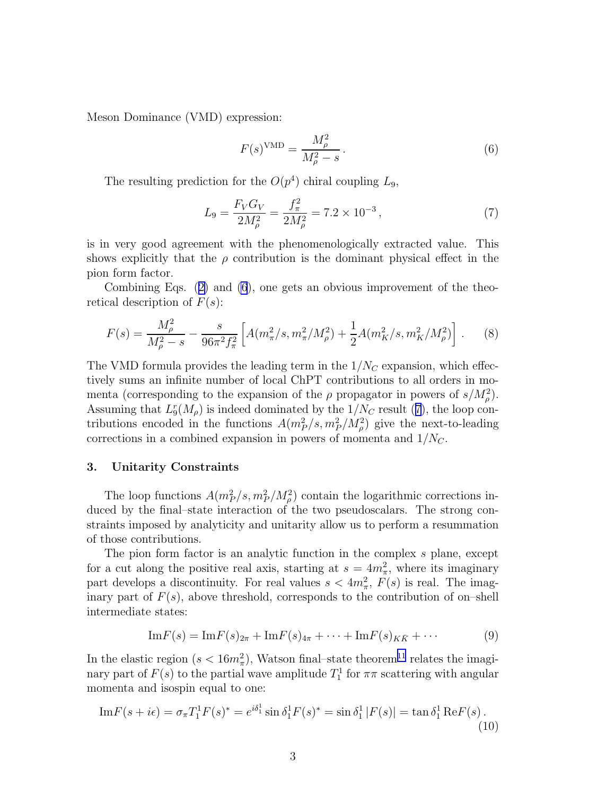<span id="page-3-0"></span>Meson Dominance (VMD) expression:

$$
F(s)^{\text{VMD}} = \frac{M_{\rho}^2}{M_{\rho}^2 - s}.
$$
 (6)

The resulting prediction for the  $O(p^4)$  chiral coupling  $L_9$ ,

$$
L_9 = \frac{F_V G_V}{2M_\rho^2} = \frac{f_\pi^2}{2M_\rho^2} = 7.2 \times 10^{-3} \,,\tag{7}
$$

is in very good agreement with the phenomenologically extracted value. This shows explicitly that the  $\rho$  contribution is the dominant physical effect in the pion form factor.

CombiningEqs.  $(2)$  $(2)$  and  $(6)$ , one gets an obvious improvement of the theoretical description of  $F(s)$ :

$$
F(s) = \frac{M_{\rho}^2}{M_{\rho}^2 - s} - \frac{s}{96\pi^2 f_{\pi}^2} \left[ A(m_{\pi}^2/s, m_{\pi}^2/M_{\rho}^2) + \frac{1}{2} A(m_K^2/s, m_K^2/M_{\rho}^2) \right].
$$
 (8)

The VMD formula provides the leading term in the  $1/N_C$  expansion, which effectively sums an infinite number of local ChPT contributions to all orders in momenta (corresponding to the expansion of the  $\rho$  propagator in powers of  $s/M_{\rho}^2$ ). Assuming that  $L_9^r(M_\rho)$  is indeed dominated by the  $1/N_C$  result (7), the loop contributions encoded in the functions  $A(m_P^2/s, m_P^2/M_\rho^2)$  give the next-to-leading corrections in a combined expansion in powers of momenta and  $1/N<sub>C</sub>$ .

#### 3. Unitarity Constraints

The loop functions  $A(m_P^2/s, m_P^2/M_\rho^2)$  contain the logarithmic corrections induced by the final–state interaction of the two pseudoscalars. The strong constraints imposed by analyticity and unitarity allow us to perform a resummation of those contributions.

The pion form factor is an analytic function in the complex s plane, except for a cut along the positive real axis, starting at  $s = 4m_{\pi}^2$ , where its imaginary part develops a discontinuity. For real values  $s < 4m_{\pi}^2$ ,  $F(s)$  is real. The imaginary part of  $F(s)$ , above threshold, corresponds to the contribution of on–shell intermediate states:

$$
\mathrm{Im}F(s) = \mathrm{Im}F(s)_{2\pi} + \mathrm{Im}F(s)_{4\pi} + \cdots + \mathrm{Im}F(s)_{K\bar{K}} + \cdots
$$
 (9)

In the elastic region  $(s < 16m_{\pi}^2)$ , Watson final-state theorem<sup>[11](#page-9-0)</sup> relates the imaginary part of  $F(s)$  to the partial wave amplitude  $T_1^1$  for  $\pi\pi$  scattering with angular momenta and isospin equal to one:

Im 
$$
F(s + i\epsilon) = \sigma_{\pi} T_1^1 F(s)^* = e^{i\delta_1^1} \sin \delta_1^1 F(s)^* = \sin \delta_1^1 |F(s)| = \tan \delta_1^1 \text{Re} F(s)
$$
. (10)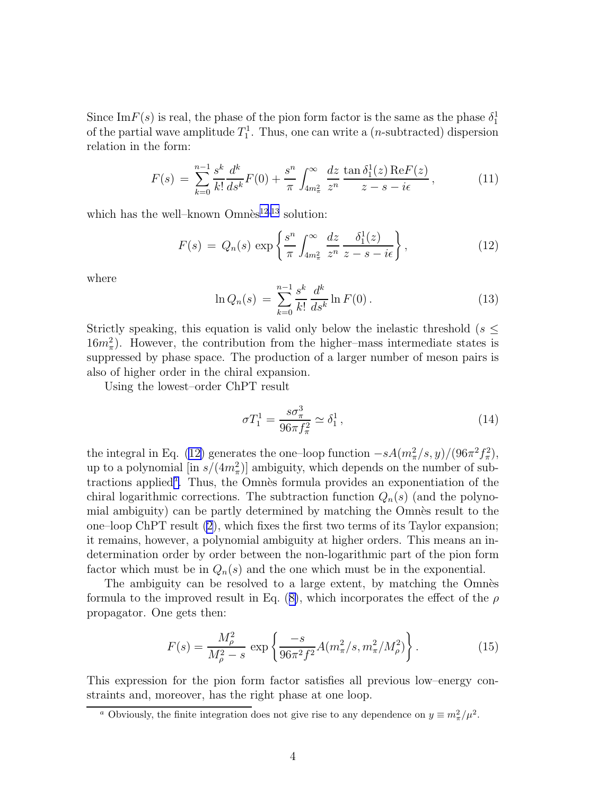<span id="page-4-0"></span>Since  $\text{Im} F(s)$  is real, the phase of the pion form factor is the same as the phase  $\delta_1^1$ of the partial wave amplitude  $T_1^1$ . Thus, one can write a (*n*-subtracted) dispersion relation in the form:

$$
F(s) = \sum_{k=0}^{n-1} \frac{s^k}{k!} \frac{d^k}{ds^k} F(0) + \frac{s^n}{\pi} \int_{4m_\pi^2}^{\infty} \frac{dz}{z^n} \frac{\tan \delta_1^1(z) \operatorname{Re} F(z)}{z - s - i\epsilon}, \tag{11}
$$

which has the well–known  $Omn\tilde{e}^{12,13}$  $Omn\tilde{e}^{12,13}$  $Omn\tilde{e}^{12,13}$  $Omn\tilde{e}^{12,13}$  $Omn\tilde{e}^{12,13}$  solution:

$$
F(s) = Q_n(s) \exp\left\{\frac{s^n}{\pi} \int_{4m_\pi^2}^{\infty} \frac{dz}{z^n} \frac{\delta_1^1(z)}{z - s - i\epsilon}\right\},\tag{12}
$$

where

$$
\ln Q_n(s) = \sum_{k=0}^{n-1} \frac{s^k}{k!} \frac{d^k}{ds^k} \ln F(0).
$$
 (13)

Strictly speaking, this equation is valid only below the inelastic threshold ( $s \leq$  $16m_{\pi}^2$ ). However, the contribution from the higher-mass intermediate states is suppressed by phase space. The production of a larger number of meson pairs is also of higher order in the chiral expansion.

Using the lowest–order ChPT result

$$
\sigma T_1^1 = \frac{s\sigma_\pi^3}{96\pi f_\pi^2} \simeq \delta_1^1\,,\tag{14}
$$

the integral in Eq. (12) generates the one–loop function  $-sA(m_{\pi}^2/s, y)/(96\pi^2 f_{\pi}^2)$ , up to a polynomial  $[\text{in } s/(4m_\pi^2)]$  ambiguity, which depends on the number of subtractions applied<sup>*a*</sup>. Thus, the Omnès formula provides an exponentiation of the chiral logarithmic corrections. The subtraction function  $Q_n(s)$  (and the polynomial ambiguity) can be partly determined by matching the Omnès result to the one–loop ChPT result [\(2](#page-2-0)), which fixes the first two terms of its Taylor expansion; it remains, however, a polynomial ambiguity at higher orders. This means an indetermination order by order between the non-logarithmic part of the pion form factor which must be in  $Q_n(s)$  and the one which must be in the exponential.

The ambiguity can be resolved to a large extent, by matching the Omnès formulato the improved result in Eq. ([8\)](#page-3-0), which incorporates the effect of the  $\rho$ propagator. One gets then:

$$
F(s) = \frac{M_{\rho}^2}{M_{\rho}^2 - s} \exp\left\{\frac{-s}{96\pi^2 f^2} A(m_{\pi}^2/s, m_{\pi}^2/M_{\rho}^2)\right\}.
$$
 (15)

This expression for the pion form factor satisfies all previous low–energy constraints and, moreover, has the right phase at one loop.

<sup>&</sup>lt;sup>a</sup> Obviously, the finite integration does not give rise to any dependence on  $y \equiv m_{\pi}^2/\mu^2$ .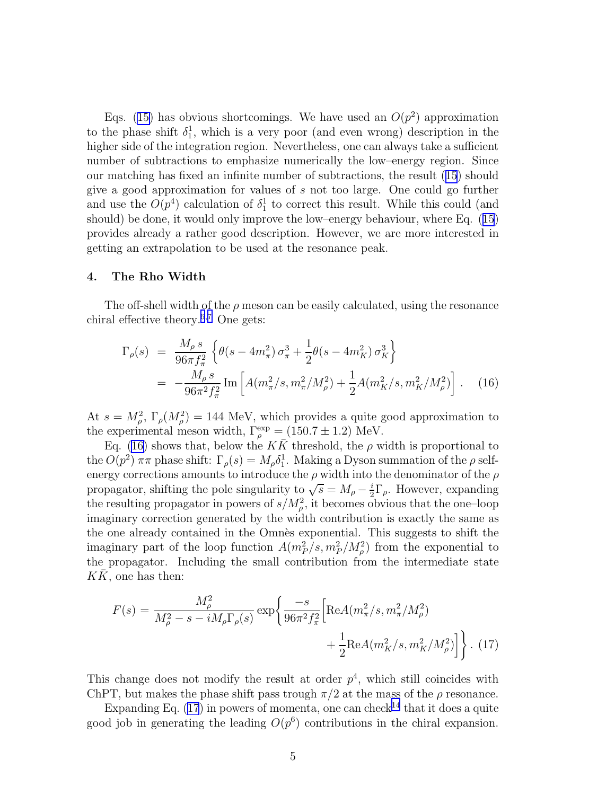<span id="page-5-0"></span>Eqs.([15\)](#page-4-0) has obvious shortcomings. We have used an  $O(p^2)$  approximation to the phase shift  $\delta_1^1$ , which is a very poor (and even wrong) description in the higher side of the integration region. Nevertheless, one can always take a sufficient number of subtractions to emphasize numerically the low–energy region. Since our matching has fixed an infinite number of subtractions, the result([15](#page-4-0)) should give a good approximation for values of s not too large. One could go further and use the  $O(p^4)$  calculation of  $\delta_1^1$  to correct this result. While this could (and should) be done, it would only improve the low–energy behaviour, where Eq.([15](#page-4-0)) provides already a rather good description. However, we are more interested in getting an extrapolation to be used at the resonance peak.

#### 4. The Rho Width

The off-shell width of the  $\rho$  meson can be easily calculated, using the resonance chiral effective theory.<sup>[6](#page-9-0),[7](#page-9-0)</sup> One gets:

$$
\Gamma_{\rho}(s) = \frac{M_{\rho} s}{96\pi f_{\pi}^{2}} \left\{ \theta(s - 4m_{\pi}^{2}) \sigma_{\pi}^{3} + \frac{1}{2} \theta(s - 4m_{K}^{2}) \sigma_{K}^{3} \right\}
$$
  
= 
$$
-\frac{M_{\rho} s}{96\pi^{2} f_{\pi}^{2}} \text{Im} \left[ A(m_{\pi}^{2}/s, m_{\pi}^{2}/M_{\rho}^{2}) + \frac{1}{2} A(m_{K}^{2}/s, m_{K}^{2}/M_{\rho}^{2}) \right].
$$
 (16)

At  $s = M_{\rho}^2$ ,  $\Gamma_{\rho}(M_{\rho}^2) = 144$  MeV, which provides a quite good approximation to the experimental meson width,  $\Gamma_{\rho}^{\text{exp}} = (150.7 \pm 1.2) \text{ MeV}.$ 

Eq. (16) shows that, below the KK threshold, the  $\rho$  width is proportional to the  $O(p^2) \pi \pi$  phase shift:  $\Gamma_{\rho}(s) = M_{\rho} \delta_1^1$ . Making a Dyson summation of the  $\rho$  selfenergy corrections amounts to introduce the  $\rho$  width into the denominator of the  $\rho$ propagator, shifting the pole singularity to  $\sqrt{s} = M_\rho - \frac{i}{2}$  $\frac{i}{2}\Gamma_{\rho}$ . However, expanding the resulting propagator in powers of  $s/M_{\rho}^2$ , it becomes obvious that the one-loop imaginary correction generated by the width contribution is exactly the same as the one already contained in the Omnès exponential. This suggests to shift the imaginary part of the loop function  $A(m_P^2/s, m_P^2/M_\rho^2)$  from the exponential to the propagator. Including the small contribution from the intermediate state  $KK$ , one has then:

$$
F(s) = \frac{M_{\rho}^2}{M_{\rho}^2 - s - iM_{\rho}\Gamma_{\rho}(s)} \exp\left\{\frac{-s}{96\pi^2 f_{\pi}^2} \left[ \text{Re}A(m_{\pi}^2/s, m_{\pi}^2/M_{\rho}^2) + \frac{1}{2} \text{Re}A(m_K^2/s, m_K^2/M_{\rho}^2) \right] \right\}.
$$
 (17)

This change does not modify the result at order  $p^4$ , which still coincides with ChPT, but makes the phase shift pass trough  $\pi/2$  at the mass of the  $\rho$  resonance.

Expanding Eq.  $(17)$  in powers of momenta, one can check<sup>[14](#page-9-0)</sup> that it does a quite good job in generating the leading  $O(p^6)$  contributions in the chiral expansion.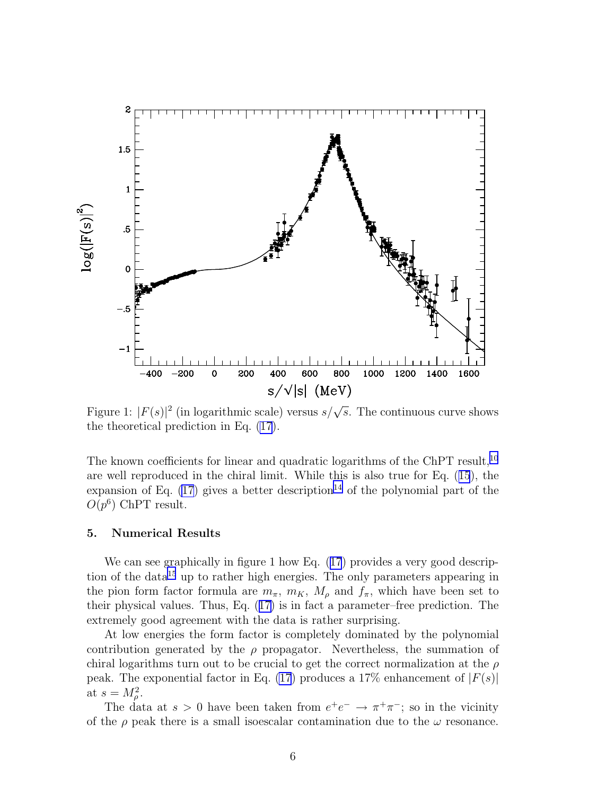

Figure 1:  $|F(s)|^2$  (in logarithmic scale) versus  $s/\sqrt{s}$ . The continuous curve shows the theoretical prediction in Eq. [\(17\)](#page-5-0).

The known coefficients for linear and quadratic logarithms of the ChPT result,<sup>[10](#page-9-0)</sup> are well reproduced in the chiral limit. While this is also true for Eq.([15](#page-4-0)), the expansion of Eq.  $(17)$  gives a better description<sup>[14](#page-9-0)</sup> of the polynomial part of the  $O(p^6)$  ChPT result.

### 5. Numerical Results

Wecan see graphically in figure 1 how Eq.  $(17)$  $(17)$  $(17)$  provides a very good descrip-tion of the data<sup>[15](#page-9-0)</sup> up to rather high energies. The only parameters appearing in the pion form factor formula are  $m_{\pi}$ ,  $m_K$ ,  $M_{\rho}$  and  $f_{\pi}$ , which have been set to their physical values. Thus, Eq.([17\)](#page-5-0) is in fact a parameter–free prediction. The extremely good agreement with the data is rather surprising.

At low energies the form factor is completely dominated by the polynomial contribution generated by the  $\rho$  propagator. Nevertheless, the summation of chiral logarithms turn out to be crucial to get the correct normalization at the  $\rho$ peak. The exponential factor in Eq. [\(17](#page-5-0)) produces a 17% enhancement of  $|F(s)|$ at  $s=M_{\rho}^2$ .

The data at  $s > 0$  have been taken from  $e^+e^- \to \pi^+\pi^-$ ; so in the vicinity of the  $\rho$  peak there is a small isoescalar contamination due to the  $\omega$  resonance.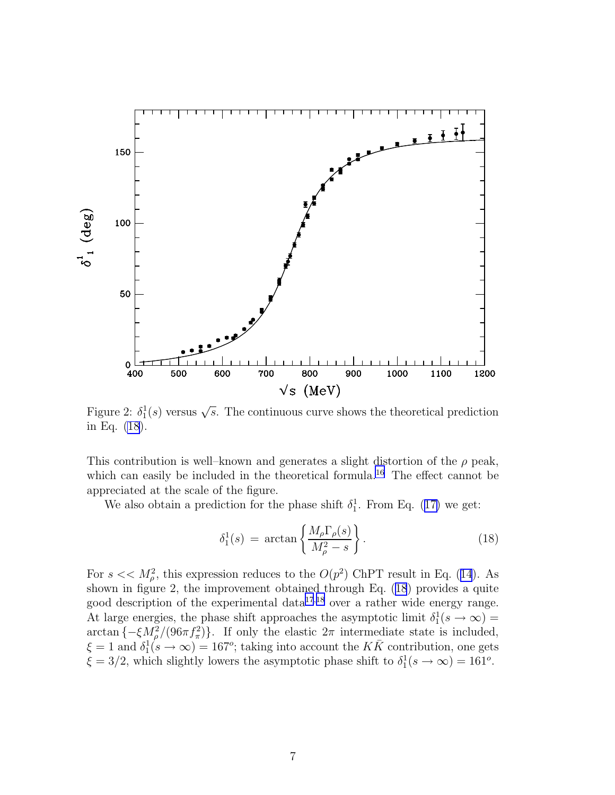

Figure 2:  $\delta_1^1(s)$  versus  $\sqrt{s}$ . The continuous curve shows the theoretical prediction in Eq. (18).

This contribution is well–known and generates a slight distortion of the  $\rho$  peak, which can easily be included in the theoretical formula.<sup>[16](#page-9-0)</sup> The effect cannot be appreciated at the scale of the figure.

Wealso obtain a prediction for the phase shift  $\delta_1^1$ . From Eq. ([17\)](#page-5-0) we get:

$$
\delta_1^1(s) = \arctan\left\{\frac{M_\rho \Gamma_\rho(s)}{M_\rho^2 - s}\right\}.
$$
\n(18)

For $s \ll M_{\rho}^2$ , this expression reduces to the  $O(p^2)$  ChPT result in Eq. ([14](#page-4-0)). As shown in figure 2, the improvement obtained through Eq.  $(18)$  provides a quite good description of the experimental data<sup>[17](#page-9-0),[18](#page-9-0)</sup> over a rather wide energy range. At large energies, the phase shift approaches the asymptotic limit  $\delta_1^1(s \to \infty)$  = arctan  $\{-\xi M_\rho^2/(96\pi f_\pi^2)\}$ . If only the elastic  $2\pi$  intermediate state is included,  $\xi = 1$  and  $\delta_1^1(s \to \infty) = 167^\circ$ ; taking into account the KK contribution, one gets  $\xi = 3/2$ , which slightly lowers the asymptotic phase shift to  $\delta_1^1(s \to \infty) = 161^\circ$ .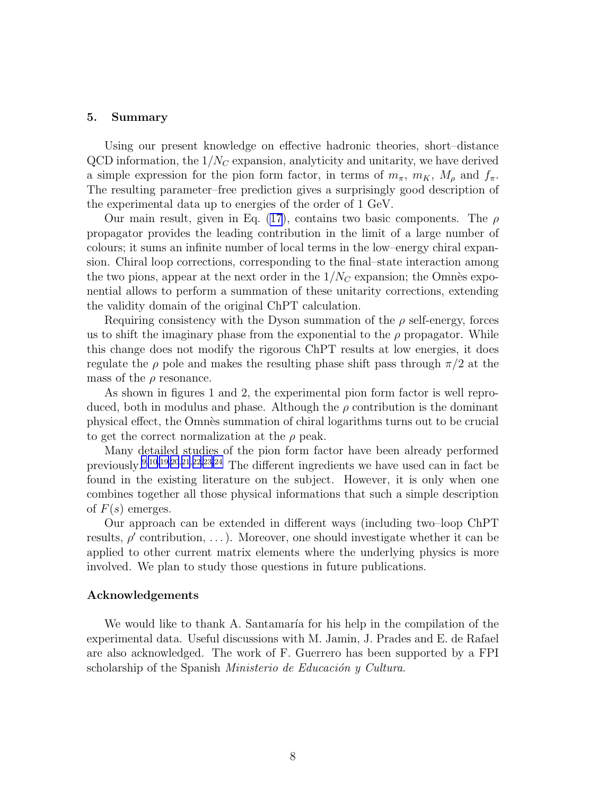#### 5. Summary

Using our present knowledge on effective hadronic theories, short–distance  $QCD$  information, the  $1/N_C$  expansion, analyticity and unitarity, we have derived a simple expression for the pion form factor, in terms of  $m_{\pi}$ ,  $m_K$ ,  $M_{\rho}$  and  $f_{\pi}$ . The resulting parameter–free prediction gives a surprisingly good description of the experimental data up to energies of the order of 1 GeV.

Our main result, given in Eq. [\(17\)](#page-5-0), contains two basic components. The  $\rho$ propagator provides the leading contribution in the limit of a large number of colours; it sums an infinite number of local terms in the low–energy chiral expansion. Chiral loop corrections, corresponding to the final–state interaction among the two pions, appear at the next order in the  $1/N_C$  expansion; the Omnès exponential allows to perform a summation of these unitarity corrections, extending the validity domain of the original ChPT calculation.

Requiring consistency with the Dyson summation of the  $\rho$  self-energy, forces us to shift the imaginary phase from the exponential to the  $\rho$  propagator. While this change does not modify the rigorous ChPT results at low energies, it does regulate the  $\rho$  pole and makes the resulting phase shift pass through  $\pi/2$  at the mass of the  $\rho$  resonance.

As shown in figures 1 and 2, the experimental pion form factor is well reproduced, both in modulus and phase. Although the  $\rho$  contribution is the dominant physical effect, the Omn`es summation of chiral logarithms turns out to be crucial to get the correct normalization at the  $\rho$  peak.

Many detailed studies of the pion form factor have been already performed previously.[9,10,19,20](#page-9-0),[21](#page-9-0),[22](#page-9-0)[,23,24](#page-10-0) The different ingredients we have used can in fact be found in the existing literature on the subject. However, it is only when one combines together all those physical informations that such a simple description of  $F(s)$  emerges.

Our approach can be extended in different ways (including two–loop ChPT results, ρ ′ contribution, . . . ). Moreover, one should investigate whether it can be applied to other current matrix elements where the underlying physics is more involved. We plan to study those questions in future publications.

## Acknowledgements

We would like to thank A. Santamaría for his help in the compilation of the experimental data. Useful discussions with M. Jamin, J. Prades and E. de Rafael are also acknowledged. The work of F. Guerrero has been supported by a FPI scholarship of the Spanish *Ministerio de Educación y Cultura*.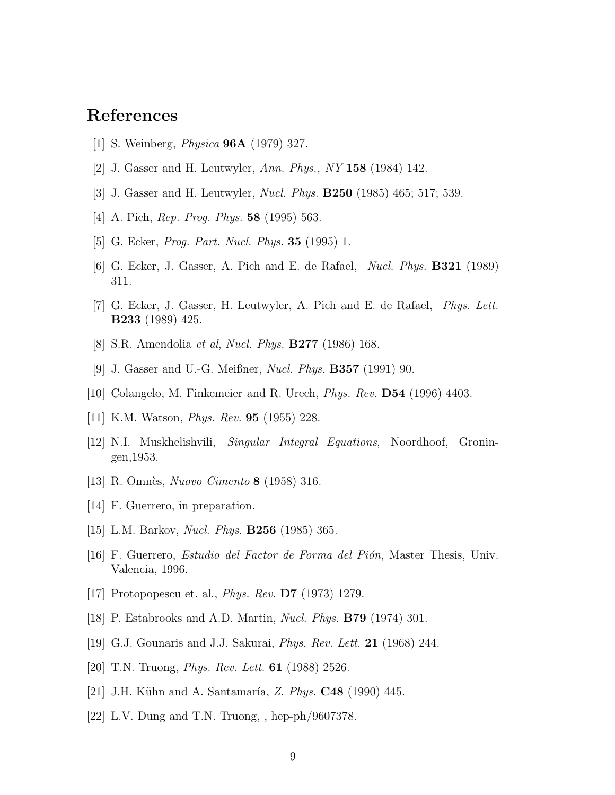# <span id="page-9-0"></span>References

- [1] S. Weinberg, Physica 96A (1979) 327.
- [2] J. Gasser and H. Leutwyler, Ann. Phys., NY 158 (1984) 142.
- [3] J. Gasser and H. Leutwyler, Nucl. Phys. B250 (1985) 465; 517; 539.
- [4] A. Pich, *Rep. Prog. Phys.* **58** (1995) 563.
- [5] G. Ecker, *Prog. Part. Nucl. Phys.* **35** (1995) 1.
- [6] G. Ecker, J. Gasser, A. Pich and E. de Rafael, Nucl. Phys. B321 (1989) 311.
- [7] G. Ecker, J. Gasser, H. Leutwyler, A. Pich and E. de Rafael, Phys. Lett. B233 (1989) 425.
- [8] S.R. Amendolia et al, Nucl. Phys. B277 (1986) 168.
- [9] J. Gasser and U.-G. Meißner, Nucl. Phys. B357 (1991) 90.
- [10] Colangelo, M. Finkemeier and R. Urech, Phys. Rev. D54 (1996) 4403.
- [11] K.M. Watson, Phys. Rev. 95 (1955) 228.
- [12] N.I. Muskhelishvili, Singular Integral Equations, Noordhoof, Groningen,1953.
- [13] R. Omnès, Nuovo Cimento 8 (1958) 316.
- [14] F. Guerrero, in preparation.
- [15] L.M. Barkov, *Nucl. Phys.* **B256** (1985) 365.
- [16] F. Guerrero, *Estudio del Factor de Forma del Pión*, Master Thesis, Univ. Valencia, 1996.
- [17] Protopopescu et. al., Phys. Rev. D7 (1973) 1279.
- [18] P. Estabrooks and A.D. Martin, Nucl. Phys. B79 (1974) 301.
- [19] G.J. Gounaris and J.J. Sakurai, Phys. Rev. Lett. 21 (1968) 244.
- [20] T.N. Truong, Phys. Rev. Lett. 61 (1988) 2526.
- [21] J.H. Kühn and A. Santamaría, Z. Phys.  $C48$  (1990) 445.
- [22] L.V. Dung and T.N. Truong, , hep-ph/9607378.